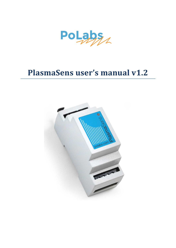

# **PlasmaSens user's manual v1.2**

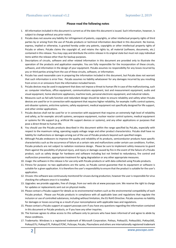#### **Please read the following notes**

- 1. All information included in this document is current as of the date this document is issued. Such information, however, is subject to change without any prior notice.
- 2. PoLabs does not assume any liability for infringement of patents, copyrights, or other intellectual property rights of third parties by or arising from the use of PoLabs products or technical information described in this document. No license, express, implied or otherwise, is granted hereby under any patents, copyrights or other intellectual property rights of PoLabs or others. PoLabs claims the copyright of, and retains the rights to, all material (software, documents, etc.) contained in this release. You may copy and distribute the entire release in its original state but must not copy individual items within the release other than for backup purposes.
- 3. Descriptions of circuits, software and other related information in this document are provided only to illustrate the operation of the products and application examples. You are fully responsible for the incorporation of these circuits, software, and information in the design of your equipment. PoLabs assumes no responsibility for any losses incurred by you or third parties arising from the use of these circuits, software, or information.
- 4. PoLabs has used reasonable care in preparing the information included in this document, but PoLabs does not warrant that such information is error free. PoLabs assumes no liability whatsoever for any damages incurred by you resulting from errors in or omissions from the information included herein.
- 5. PoLabs devices may be used in equipment that does not impose a threat to human life in case of the malfunctioning, such as: computer interfaces, office equipment, communications equipment, test and measurement equipment, audio and visual equipment, home electronic appliances, machine tools, personal electronic equipment, and industrial robots.
- 6. Measures such as fail-safe function and redundant design should be taken to ensure reliability and safety when PoLabs devices are used for or in connection with equipment that requires higher reliability, for example: traffic control systems, anti-disaster systems, anticrime systems, safety equipment, medical equipment not specifically designed for life support, and other similar applications.
- 7. PoLabs devices shall not be used for or in connection with equipment that requires an extremely high level of reliability and safety, as for example: aircraft systems, aerospace equipment, nuclear reactor control systems, medical equipment or systems for life support (e.g. artificial life support devices or systems), and any other applications or purposes that pose a direct threat to human life.
- 8. You should use the PoLabs products described in this document within the range specified by PoLabs, especially with respect to the maximum rating, operating supply voltage range and other product characteristics. PoLabs shall have no liability for malfunctions or damages arising out of the use of PoLabs products beyond such specified ranges.
- 9. Although PoLabs endeavors to improve the quality and reliability of its products, semiconductor products have specific characteristics such as the occurrence of failure at a certain rate and malfunctions under certain use conditions. Further, PoLabs products are not subject to radiation resistance design. Please be sure to implement safety measures to guard them against the possibility of physical injury, and injury or damage caused by fire in the event of the failure of a PoLabs product, such as safety design for hardware and software including but not limited to redundancy, fire control and malfunction prevention, appropriate treatment for aging degradation or any other appropriate measures.
- 10. Usage: the software in this release is for use only with PoLabs products or with data collected using PoLabs products.
- 11. Fitness for purpose: no two applications are the same, so PoLabs cannot guarantee that its equipment or software is suitable for a given application. It is therefore the user's responsibility to ensure that the product is suitable for the user's application.
- 12. Viruses: this software was continuously monitored for viruses during production, however the user is responsible for virus checking the software once it is installed.
- 13. Upgrades: we provide upgrades, free of charge, from our web site at www.poscope.com. We reserve the right to charge for updates or replacements sent out on physical media.
- 14. Please contact a PoLabs support for details as to environmental matters such as the environmental compatibility of each PoLabs product. Please use PoLabs products in compliance with all applicable laws and regulations that regulate the inclusion or use of controlled substances, including without limitation, the EU RoHS Directive. PoLabs assumes no liability for damages or losses occurring as a result of your noncompliance with applicable laws and regulations.
- 15. Please contact a PoLabs support at support.poscope.com if you have any questions regarding the information contained in this document or PoLabs products, or if you have any other inquiries.
- 16. The licensee agrees to allow access to this software only to persons who have been informed of and agree to abide by these conditions.
- 17. Trademarks: Windows is a registered trademark of Microsoft Corporation. PoKeys, PoKeys55, PoKeys56U, PoKeys56E, PoKeys57U, PoKeys57E, PoKeys57CNC, PoScope, PoLabs, PlasmaSens and others are internationally registered trademark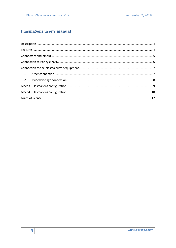# **PlasmaSens user's manual**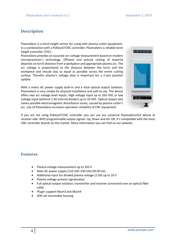## <span id="page-3-0"></span>**Description**

PlasmaSens is a torch height sensor for using with plasma cutter equipment. In a combination with a PoKeys57CNC controller, PlasmaSens is reliable torch height controller (THC).

PlasmaSens provides an accurate arc voltage measurement based on modern microprocessor's technology. Efficient and precise cutting of material depends on torch distance from a workpiece and appropriate plasma arc. The arc voltage is proportional to the distance between the torch and the workpiece and should stay as equal as possible across the entire cutting surface. Therefor plasma's voltage data is important for a Z-axis position update.

With a mains AC power supply built-in and a total optical output isolation, PlasmaSens is very simple for physical installation and safe to use. The device offers two arc voltage level inputs. High voltage input up to 350 VDC or low voltage input (without 1:50 internal divider) up to 10 VDC. Optical output also solves possible electromagnetic disturbance issues, caused by plasma cutter's arc. Use of PlasmaSens increases operation reliability of CNC equipment.



If you are not using PoKeys57CNC controller you can use our universal PlasmaSensOut device at receiver side. With programmable output signals: Up, Down and Arc OK, it's compatible with the most CNC controller boards on the market. More information you can find on our website.

## <span id="page-3-1"></span>**Features**

- Plasma voltage measurement up to 350 V
- Main AC power supply (110 VAC-230 VAC/50-60 Hz)
- Additional input for divided plasma voltage (1:50) up to 10 V
- Plasma voltage present signalization
- Full optical output isolation; transmitter and receiver connected over an optical fiber cable
- Plugin support Mach3 and Mach4
- DIN-rail mountable housing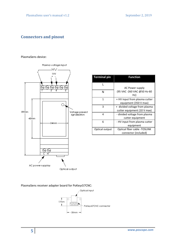## <span id="page-4-0"></span>**Connectors and pinout**

#### PlasmaSens device:



| <b>Terminal pin</b> | Function                                                     |
|---------------------|--------------------------------------------------------------|
|                     | AC Power supply                                              |
| N                   | (95 VAC -260 VAC @50 Hz-60<br>Hz)                            |
| 1                   | + HV input from plasma cutter<br>equipment (350 V max)       |
| 3                   | + divided voltage from plasma<br>cutter equipment (10 V max) |
| 4                   | - divided voltage from plasma<br>cutter equipment            |
| 6                   | - HV input from plasma cutter<br>equipment                   |
| Optical output      | Optical fiber cable -TOSLINK<br>connector (included)         |

PlasmaSens receiver adapter board for PoKeys57CNC:

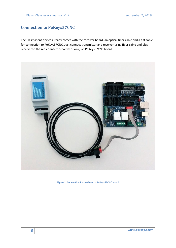## <span id="page-5-0"></span>**Connection to PoKeys57CNC**

The PlasmaSens device already comes with the receiver board, an optical fiber cable and a flat cable for connection to PoKeys57CNC. Just connect transmitter and receiver using fiber cable and plug receiver to the red connector (PoExtension2) on PoKeys57CNC board.



**Figure 1: Connection PlasmaSens to PoKeys57CNC board**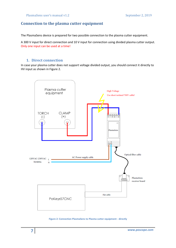## <span id="page-6-0"></span>**Connection to the plasma cutter equipment**

The PlasmaSens device is prepared for two possible connection to the plasma cutter equipment.

A 300 V input for direct connection and 10 V input for connection using divided plasma cutter output. Only one input can be used at a time!

#### **1. Direct connection**

<span id="page-6-1"></span>In case your plasma cutter does not support voltage divided output, you should connect it directly to HV input as shown in Figure 2.



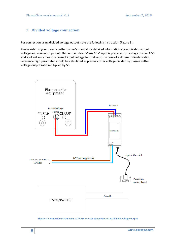## <span id="page-7-0"></span>**2. Divided voltage connection**

For connection using divided voltage output note the following instruction (Figure 3).

Please refer to your plasma cutter owner's manual for detailed information about divided output voltage and connector pinout. Remember PlasmaSens 10 V input is prepared for voltage divider 1:50 and so it will only measure correct input voltage for that ratio. In case of a different divider ratio, reference high parameter should be calculated as plasma cutter voltage divided by plasma cutter voltage output ratio multiplied by 50.



**Figure 3: Connection PlasmaSens to Plasma cutter equipment using divided voltage output**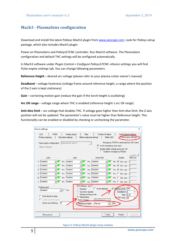## <span id="page-8-0"></span>**Mach3 - PlasmaSens configuration**

Download and install the latest PoKeys Mach3 plugin from [www.poscope.com.](http://www.poscope.com/) Look for PoKeys setup package, which also includes Mach3 plugin.

Power on PlasmaSens and PoKeys57CNC controller. Run Mach3 software. The PlasmaSens configuration and default THC settings will be configured automatically.

In Mach3 software under *Plugin Control-> Configure PoKeys57CNC->Device settings* you will find *Pulse engine settings* tab. You can change fallowing parameters:

**Reference Height** – desired arc voltage (please refer to your plasma cutter owner's manual)

**Deadband** – voltage hysteresis (voltage frame around reference height, a range where the position of the Z-axis is kept stationary)

**Gain** – correcting motion gain (reduce the gain if the torch height is oscillating)

**Arc OK range** – voltage range where THC is enabled (reference height ± arc OK range)

**Anti-dive limit** – arc voltage that disables THC. If voltage goes higher than Anti-dive limit, the Z-axis position will not be updated. The parameter's value must be higher than Reference height. This functionality can be enabled or disabled by checking or unchecking the parameter.

| Device settings                                                                                                                        |                                     |                                                                                                                                                                                      | ×                                                                                                                                                                     |
|----------------------------------------------------------------------------------------------------------------------------------------|-------------------------------------|--------------------------------------------------------------------------------------------------------------------------------------------------------------------------------------|-----------------------------------------------------------------------------------------------------------------------------------------------------------------------|
| <b>LCD</b><br><b>PWM</b><br>PoKeys mapping                                                                                             | Analog inputs<br>Encoders settings  | <b>Misc</b><br>PoKeys IO status<br>Matrix keyboard settings                                                                                                                          | Import/Export settings<br>Pulse engine settings<br>Matrix LED                                                                                                         |
| Pulse engine configuration: External 6ch with IO<br>Status: Stopped                                                                    |                                     |                                                                                                                                                                                      | Emergency STOP on dedicated pin (NC switch<br>$\triangledown$ Invert emergency stop input<br>$\Box$ Enable safety charge pump (pin 45)<br>Enable in emergency (Reset) |
| Limit+                                                                                                                                 | Limit-                              | Home/Ref                                                                                                                                                                             | Auto<br>MPG div.<br>Enable                                                                                                                                            |
| <b>Disabled</b><br>x                                                                                                                   | Inv. Disabled                       | Inv. Disabled                                                                                                                                                                        | $Inv. \nabla$ Act. Low<br>10                                                                                                                                          |
| <b>Disabled</b>                                                                                                                        | Inv. Disabled                       | Inv. Disabled                                                                                                                                                                        | Inv. V Act. Low<br>In                                                                                                                                                 |
| <b>Disabled</b><br>z                                                                                                                   | Inv. Disabled                       | <b>Inv.</b> Disabled                                                                                                                                                                 | Inv. V Act. Low<br>10                                                                                                                                                 |
| <b>Disabled</b><br>А                                                                                                                   | Inv. Disabled                       | Inv. Disabled                                                                                                                                                                        | Inv. Act. Low                                                                                                                                                         |
| <b>Disabled</b><br>R                                                                                                                   | Inv. Disabled                       | Inv. Disabled                                                                                                                                                                        | Inv. Act. Low<br>I٥                                                                                                                                                   |
| <b>Disabled</b><br>с                                                                                                                   | Inv. Disabled                       | Disabled                                                                                                                                                                             | Inv. Act. Low<br>0                                                                                                                                                    |
| Probing input<br><b>Disabled</b><br>$\mathbf{r}$<br>□ Don't de-ref on stop<br>Switch step/dir signals<br>Switch input filtering:<br>10 | <b>Disabled</b><br>$\Box$ Inv.<br>G | THC settings - axis Z<br>$\Box$ Invert direction<br>Up/Down signals<br>Voltage/analog mode<br>PlasmaSens<br>EasySensor <sub>2</sub><br>Torch voltage:<br>Reference height:<br>Manual | 250<br>⊽<br>A iti-dive limit:<br>Deadband: 8<br>۷<br>Gain: 5.00<br>COK range: 80<br>160<br>▾╎                                                                         |
| Show pinout                                                                                                                            |                                     | V redu                                                                                                                                                                               | Prekliči<br>Uporabi                                                                                                                                                   |

**Figure 4: PoKeys Mach3 plugin setup window**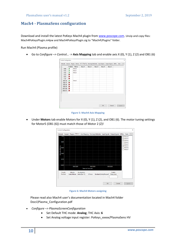## <span id="page-9-0"></span>**Mach4 - PlasmaSens configuration**

Download and install the latest PoKeys Mach4 plugin from [www.poscope.com.](http://www.poscope.com/) Unzip and copy files: Mach4PoKeysPlugin.m4pw and Mach4PoKeysPlugin.sig to "Mach4\Plugins" folder.

Run Mach4 (Plasma profile)

• Go to *Configure –> Control…* -> **Axis Mapping** tab and enable axis X (0), Y (1), Z (2) and OB1 (6)



**Figure 5: Mach4 Axis Mapping** 

• Under **Motors** tab enable Motors for X (0), Y (1), Z (2), and OB1 (6). The motor tuning settings for Motor5 (OB1 (6)) must match those of Motor 2 (Z)!



**Figure 6: Mach4 Motors assigning** 

Please read also Mach4 user's documentation located in Mach4 folder Docs\Plasma\_Configuration.pdf

- *Configure –> PlasmaScreenConfiguration*
	- Set Default THC mode: **Analog**; THC Axis: **6**
	- Set Analog voltage input register: PoKeys\_xxxxx/PlasmaSens HV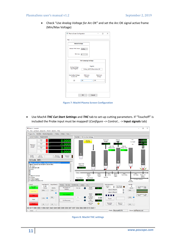#### PlasmaSens user's manual v1.2 September 2, 2019

• Check "*Use Analog Voltage for Arc OK"* and set the Arc OK signal active frame (Min/Max Voltage)

| <b>Global Settings</b>                         |                                        |                    |  |
|------------------------------------------------|----------------------------------------|--------------------|--|
| Default THC Mode                               | Analog                                 |                    |  |
| <b>THC Axis</b>                                | $6\phantom{1}$                         |                    |  |
|                                                | <b>THC1 (Analog) Settings</b>          |                    |  |
| <b>Analog Voltage</b><br><b>Input Register</b> | Register<br>PoKeys_40570/PlasmaSens HV |                    |  |
| <b>Use Analog Voltage</b><br>for Arc OK        | Minimum<br>Voltage                     | Maximum<br>Voltage |  |
|                                                | 40                                     | 220                |  |

**Figure 7: Mach4 Plasma Screen Configuration** 

• Use Mach4 *THC Cut Start Settings* and *THC* tab to set-up cutting parameters. If "Touchoff" is included the Probe input must be mapped! (*Configure –> Control…* -> **Input signals** tab)